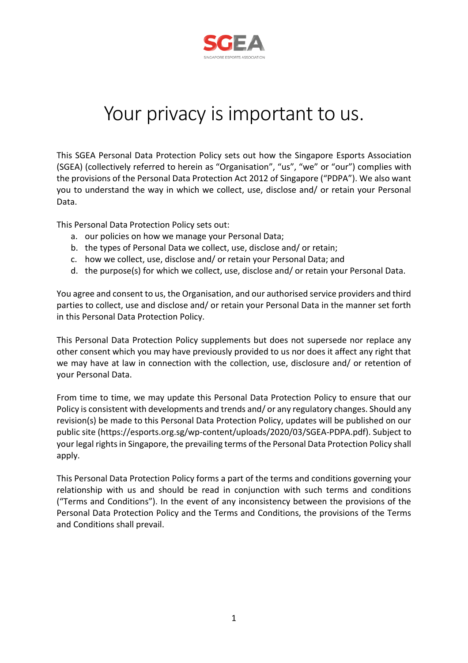

# Your privacy is important to us.

This SGEA Personal Data Protection Policy sets out how the Singapore Esports Association (SGEA) (collectively referred to herein as "Organisation", "us", "we" or "our") complies with the provisions of the Personal Data Protection Act 2012 of Singapore ("PDPA"). We also want you to understand the way in which we collect, use, disclose and/ or retain your Personal Data.

This Personal Data Protection Policy sets out:

- a. our policies on how we manage your Personal Data;
- b. the types of Personal Data we collect, use, disclose and/ or retain;
- c. how we collect, use, disclose and/ or retain your Personal Data; and
- d. the purpose(s) for which we collect, use, disclose and/ or retain your Personal Data.

You agree and consent to us, the Organisation, and our authorised service providers and third parties to collect, use and disclose and/ or retain your Personal Data in the manner set forth in this Personal Data Protection Policy.

This Personal Data Protection Policy supplements but does not supersede nor replace any other consent which you may have previously provided to us nor does it affect any right that we may have at law in connection with the collection, use, disclosure and/ or retention of your Personal Data.

From time to time, we may update this Personal Data Protection Policy to ensure that our Policy is consistent with developments and trends and/ or any regulatory changes. Should any revision(s) be made to this Personal Data Protection Policy, updates will be published on our public site (https://esports.org.sg/wp-content/uploads/2020/03/SGEA-PDPA.pdf). Subject to your legal rights in Singapore, the prevailing terms of the Personal Data Protection Policy shall apply.

This Personal Data Protection Policy forms a part of the terms and conditions governing your relationship with us and should be read in conjunction with such terms and conditions ("Terms and Conditions"). In the event of any inconsistency between the provisions of the Personal Data Protection Policy and the Terms and Conditions, the provisions of the Terms and Conditions shall prevail.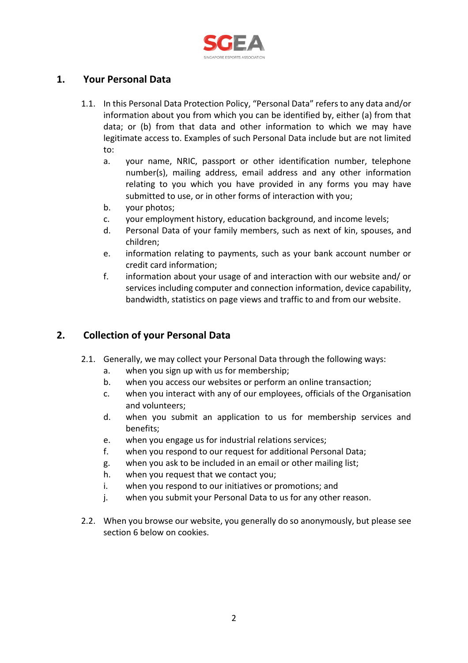

#### **1. Your Personal Data**

- 1.1. In this Personal Data Protection Policy, "Personal Data" refers to any data and/or information about you from which you can be identified by, either (a) from that data; or (b) from that data and other information to which we may have legitimate access to. Examples of such Personal Data include but are not limited to:
	- a. your name, NRIC, passport or other identification number, telephone number(s), mailing address, email address and any other information relating to you which you have provided in any forms you may have submitted to use, or in other forms of interaction with you;
	- b. your photos;
	- c. your employment history, education background, and income levels;
	- d. Personal Data of your family members, such as next of kin, spouses, and children;
	- e. information relating to payments, such as your bank account number or credit card information;
	- f. information about your usage of and interaction with our website and/ or services including computer and connection information, device capability, bandwidth, statistics on page views and traffic to and from our website.

#### **2. Collection of your Personal Data**

- 2.1. Generally, we may collect your Personal Data through the following ways:
	- a. when you sign up with us for membership;
	- b. when you access our websites or perform an online transaction;
	- c. when you interact with any of our employees, officials of the Organisation and volunteers;
	- d. when you submit an application to us for membership services and benefits;
	- e. when you engage us for industrial relations services;
	- f. when you respond to our request for additional Personal Data;
	- g. when you ask to be included in an email or other mailing list;
	- h. when you request that we contact you;
	- i. when you respond to our initiatives or promotions; and
	- j. when you submit your Personal Data to us for any other reason.
- 2.2. When you browse our website, you generally do so anonymously, but please see section 6 below on cookies.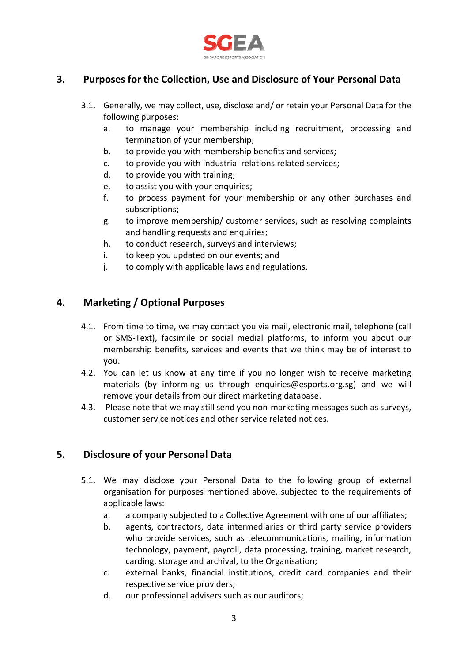

### **3. Purposes for the Collection, Use and Disclosure of Your Personal Data**

- 3.1. Generally, we may collect, use, disclose and/ or retain your Personal Data for the following purposes:
	- a. to manage your membership including recruitment, processing and termination of your membership;
	- b. to provide you with membership benefits and services;
	- c. to provide you with industrial relations related services;
	- d. to provide you with training;
	- e. to assist you with your enquiries;
	- f. to process payment for your membership or any other purchases and subscriptions;
	- g. to improve membership/ customer services, such as resolving complaints and handling requests and enquiries;
	- h. to conduct research, surveys and interviews;
	- i. to keep you updated on our events; and
	- j. to comply with applicable laws and regulations.

#### **4. Marketing / Optional Purposes**

- 4.1. From time to time, we may contact you via mail, electronic mail, telephone (call or SMS-Text), facsimile or social medial platforms, to inform you about our membership benefits, services and events that we think may be of interest to you.
- 4.2. You can let us know at any time if you no longer wish to receive marketing materials (by informing us through enquiries@esports.org.sg) and we will remove your details from our direct marketing database.
- 4.3. Please note that we may still send you non-marketing messages such as surveys, customer service notices and other service related notices.

#### **5. Disclosure of your Personal Data**

- 5.1. We may disclose your Personal Data to the following group of external organisation for purposes mentioned above, subjected to the requirements of applicable laws:
	- a. a company subjected to a Collective Agreement with one of our affiliates;
	- b. agents, contractors, data intermediaries or third party service providers who provide services, such as telecommunications, mailing, information technology, payment, payroll, data processing, training, market research, carding, storage and archival, to the Organisation;
	- c. external banks, financial institutions, credit card companies and their respective service providers;
	- d. our professional advisers such as our auditors;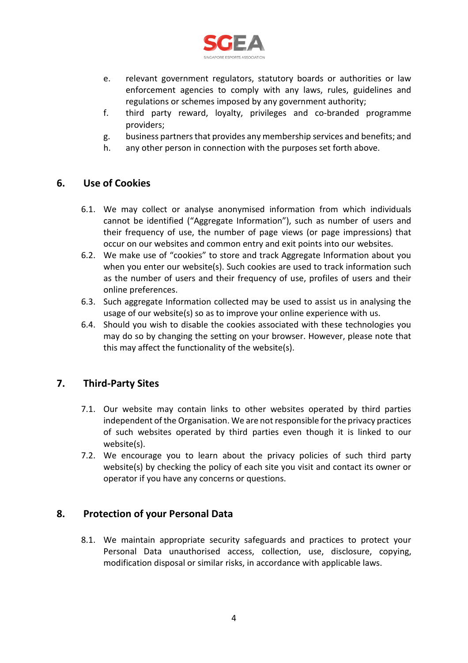

- e. relevant government regulators, statutory boards or authorities or law enforcement agencies to comply with any laws, rules, guidelines and regulations or schemes imposed by any government authority;
- f. third party reward, loyalty, privileges and co-branded programme providers;
- g. business partners that provides any membership services and benefits; and
- h. any other person in connection with the purposes set forth above.

#### **6. Use of Cookies**

- 6.1. We may collect or analyse anonymised information from which individuals cannot be identified ("Aggregate Information"), such as number of users and their frequency of use, the number of page views (or page impressions) that occur on our websites and common entry and exit points into our websites.
- 6.2. We make use of "cookies" to store and track Aggregate Information about you when you enter our website(s). Such cookies are used to track information such as the number of users and their frequency of use, profiles of users and their online preferences.
- 6.3. Such aggregate Information collected may be used to assist us in analysing the usage of our website(s) so as to improve your online experience with us.
- 6.4. Should you wish to disable the cookies associated with these technologies you may do so by changing the setting on your browser. However, please note that this may affect the functionality of the website(s).

#### **7. Third-Party Sites**

- 7.1. Our website may contain links to other websites operated by third parties independent of the Organisation. We are not responsible for the privacy practices of such websites operated by third parties even though it is linked to our website(s).
- 7.2. We encourage you to learn about the privacy policies of such third party website(s) by checking the policy of each site you visit and contact its owner or operator if you have any concerns or questions.

#### **8. Protection of your Personal Data**

8.1. We maintain appropriate security safeguards and practices to protect your Personal Data unauthorised access, collection, use, disclosure, copying, modification disposal or similar risks, in accordance with applicable laws.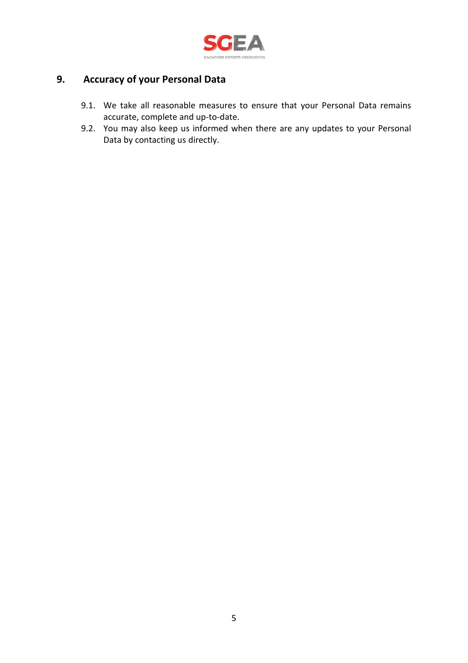

## **9. Accuracy of your Personal Data**

- 9.1. We take all reasonable measures to ensure that your Personal Data remains accurate, complete and up-to-date.
- 9.2. You may also keep us informed when there are any updates to your Personal Data by contacting us directly.